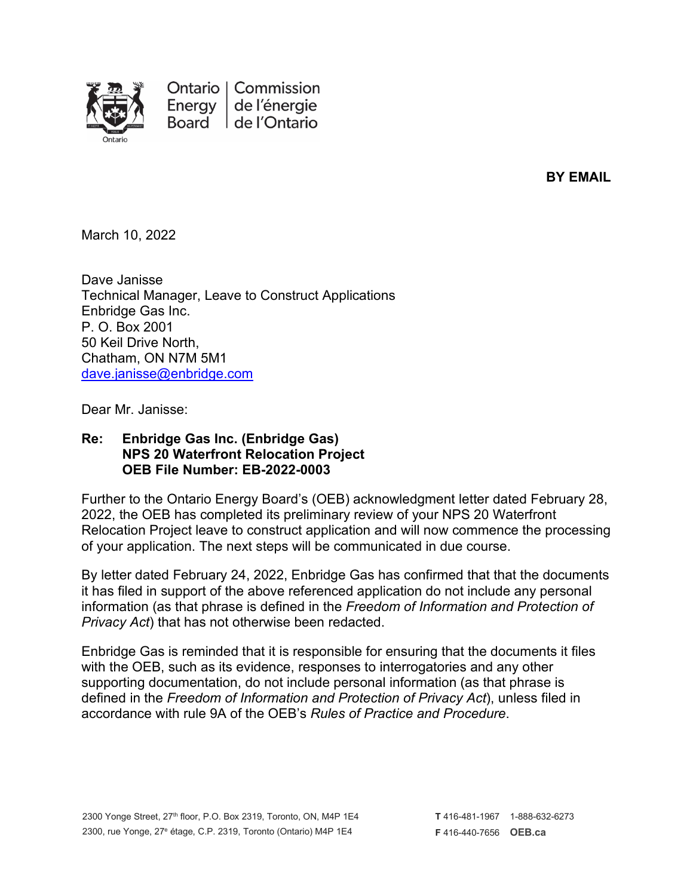

Ontario | Commission Energy de l'énergie Board de l'Ontario

**BY EMAIL**

March 10, 2022

Dave Janisse Technical Manager, Leave to Construct Applications Enbridge Gas Inc. P. O. Box 2001 50 Keil Drive North, Chatham, ON N7M 5M1 [dave.janisse@enbridge.com](mailto:dave.janisse@enbridge.com)

Dear Mr. Janisse:

## **Re: Enbridge Gas Inc. (Enbridge Gas) NPS 20 Waterfront Relocation Project OEB File Number: EB-2022-0003**

Further to the Ontario Energy Board's (OEB) acknowledgment letter dated February 28, 2022, the OEB has completed its preliminary review of your NPS 20 Waterfront Relocation Project leave to construct application and will now commence the processing of your application. The next steps will be communicated in due course.

By letter dated February 24, 2022, Enbridge Gas has confirmed that that the documents it has filed in support of the above referenced application do not include any personal information (as that phrase is defined in the *Freedom of Information and Protection of Privacy Act*) that has not otherwise been redacted.

Enbridge Gas is reminded that it is responsible for ensuring that the documents it files with the OEB, such as its evidence, responses to interrogatories and any other supporting documentation, do not include personal information (as that phrase is defined in the *Freedom of Information and Protection of Privacy Act*), unless filed in accordance with rule 9A of the OEB's *Rules of Practice and Procedure*.